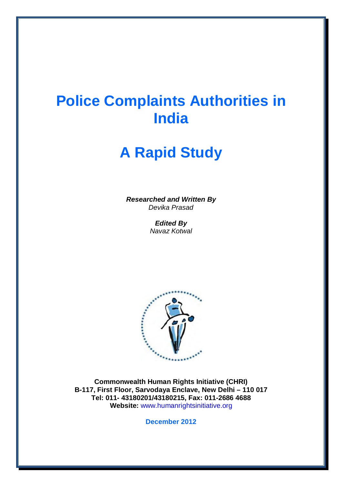# **Police Complaints Authorities in India**

# **A Rapid Study**

*Researched and Written By Devika Prasad* 

> *Edited By Navaz Kotwal*



**Commonwealth Human Rights Initiative (CHRI) B-117, First Floor, Sarvodaya Enclave, New Delhi – 110 017 Tel: 011- 43180201/43180215, Fax: 011-2686 4688 Website:** www.humanrightsinitiative.org

**December 2012**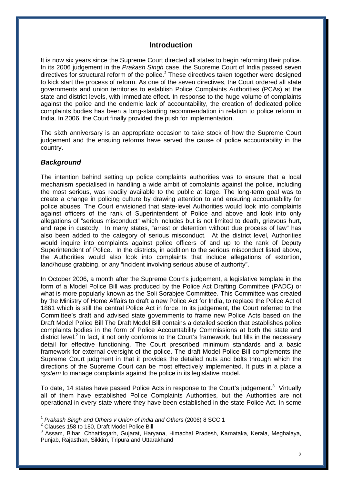## **Introduction**

It is now six years since the Supreme Court directed all states to begin reforming their police. In its 2006 judgement in the *Prakash Singh* case, the Supreme Court of India passed seven directives for structural reform of the police.*<sup>1</sup>* These directives taken together were designed to kick start the process of reform. As one of the seven directives, the Court ordered all state governments and union territories to establish Police Complaints Authorities (PCAs) at the state and district levels, with immediate effect. In response to the huge volume of complaints against the police and the endemic lack of accountability, the creation of dedicated police complaints bodies has been a long-standing recommendation in relation to police reform in India. In 2006, the Court finally provided the push for implementation.

The sixth anniversary is an appropriate occasion to take stock of how the Supreme Court judgement and the ensuing reforms have served the cause of police accountability in the country.

#### *Background*

The intention behind setting up police complaints authorities was to ensure that a local mechanism specialised in handling a wide ambit of complaints against the police, including the most serious, was readily available to the public at large. The long-term goal was to create a change in policing culture by drawing attention to and ensuring accountability for police abuses. The Court envisioned that state-level Authorities would look into complaints against officers of the rank of Superintendent of Police and above and look into only allegations of "serious misconduct" which includes but is not limited to death, grievous hurt, and rape in custody. In many states, "arrest or detention without due process of law" has also been added to the category of serious misconduct. At the district level, Authorities would inquire into complaints against police officers of and up to the rank of Deputy Superintendent of Police. In the districts, in addition to the serious misconduct listed above, the Authorities would also look into complaints that include allegations of extortion, land/house grabbing, or any "incident involving serious abuse of authority".

In October 2006, a month after the Supreme Court's judgement, a legislative template in the form of a Model Police Bill was produced by the Police Act Drafting Committee (PADC) or what is more popularly known as the Soli Sorabjee Committee. This Committee was created by the Ministry of Home Affairs to draft a new Police Act for India, to replace the Police Act of 1861 which is still the central Police Act in force. In its judgement, the Court referred to the Committee's draft and advised state governments to frame new Police Acts based on the Draft Model Police Bill The Draft Model Bill contains a detailed section that establishes police complaints bodies in the form of Police Accountability Commissions at both the state and district level.<sup>2</sup> In fact, it not only conforms to the Court's framework, but fills in the necessary detail for effective functioning. The Court prescribed minimum standards and a basic framework for external oversight of the police. The draft Model Police Bill complements the Supreme Court judgment in that it provides the detailed nuts and bolts through which the directions of the Supreme Court can be most effectively implemented. It puts in a place a *system* to manage complaints against the police in its legislative model.

To date, 14 states have passed Police Acts in response to the Court's judgement. $3$  Virtually all of them have established Police Complaints Authorities, but the Authorities are not operational in every state where they have been established in the state Police Act. In some

 $\overline{a}$ <sup>1</sup> *Prakash Singh and Others v Union of India and Others* (2006) 8 SCC 1

<sup>2</sup> Clauses 158 to 180, Draft Model Police Bill<br>3 Assem, Biber, Chhottisgerb, Guieret, Hen

<sup>3</sup> Assam, Bihar, Chhattisgarh, Gujarat, Haryana, Himachal Pradesh, Karnataka, Kerala, Meghalaya, Punjab, Rajasthan, Sikkim, Tripura and Uttarakhand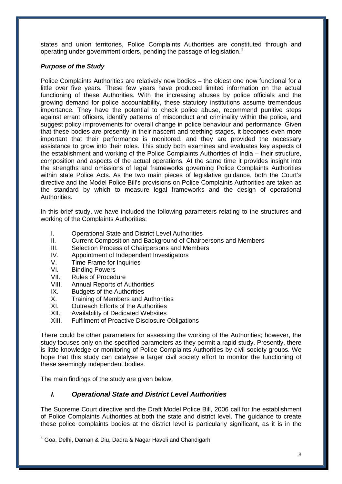states and union territories, Police Complaints Authorities are constituted through and operating under government orders, pending the passage of legislation.<sup>4</sup>

## *Purpose of the Study*

Police Complaints Authorities are relatively new bodies – the oldest one now functional for a little over five years. These few years have produced limited information on the actual functioning of these Authorities. With the increasing abuses by police officials and the growing demand for police accountability, these statutory institutions assume tremendous importance. They have the potential to check police abuse, recommend punitive steps against errant officers, identify patterns of misconduct and criminality within the police, and suggest policy improvements for overall change in police behaviour and performance. Given that these bodies are presently in their nascent and teething stages, it becomes even more important that their performance is monitored, and they are provided the necessary assistance to grow into their roles. This study both examines and evaluates key aspects of the establishment and working of the Police Complaints Authorities of India – their structure, composition and aspects of the actual operations. At the same time it provides insight into the strengths and omissions of legal frameworks governing Police Complaints Authorities within state Police Acts. As the two main pieces of legislative guidance, both the Court's directive and the Model Police Bill's provisions on Police Complaints Authorities are taken as the standard by which to measure legal frameworks and the design of operational Authorities.

In this brief study, we have included the following parameters relating to the structures and working of the Complaints Authorities:

- I. Operational State and District Level Authorities
- II. Current Composition and Background of Chairpersons and Members
- III. Selection Process of Chairpersons and Members
- IV. Appointment of Independent Investigators
- V. Time Frame for Inquiries
- VI. Binding Powers
- VII. Rules of Procedure
- VIII. Annual Reports of Authorities
- IX. Budgets of the Authorities
- X. Training of Members and Authorities
- XI. Outreach Efforts of the Authorities
- XII. Availability of Dedicated Websites
- XIII. Fulfilment of Proactive Disclosure Obligations

There could be other parameters for assessing the working of the Authorities; however, the study focuses only on the specified parameters as they permit a rapid study. Presently, there is little knowledge or monitoring of Police Complaints Authorities by civil society groups. We hope that this study can catalyse a larger civil society effort to monitor the functioning of these seemingly independent bodies.

The main findings of the study are given below.

## *I. Operational State and District Level Authorities*

The Supreme Court directive and the Draft Model Police Bill, 2006 call for the establishment of Police Complaints Authorities at both the state and district level. The guidance to create these police complaints bodies at the district level is particularly significant, as it is in the

j  $^4$  Goa, Delhi, Daman & Diu, Dadra & Nagar Haveli and Chandigarh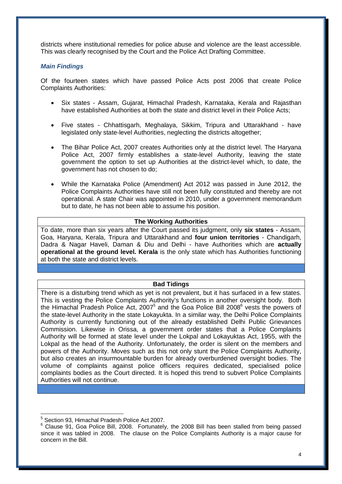districts where institutional remedies for police abuse and violence are the least accessible. This was clearly recognised by the Court and the Police Act Drafting Committee.

#### *Main Findings*

Of the fourteen states which have passed Police Acts post 2006 that create Police Complaints Authorities:

- Six states Assam, Gujarat, Himachal Pradesh, Karnataka, Kerala and Rajasthan have established Authorities at both the state and district level in their Police Acts;
- Five states Chhattisgarh, Meghalaya, Sikkim, Tripura and Uttarakhand have legislated only state-level Authorities, neglecting the districts altogether;
- The Bihar Police Act, 2007 creates Authorities only at the district level. The Haryana Police Act, 2007 firmly establishes a state-level Authority, leaving the state government the option to set up Authorities at the district-level which, to date, the government has not chosen to do;
- While the Karnataka Police (Amendment) Act 2012 was passed in June 2012, the Police Complaints Authorities have still not been fully constituted and thereby are not operational. A state Chair was appointed in 2010, under a government memorandum but to date, he has not been able to assume his position.

#### **The Working Authorities**

To date, more than six years after the Court passed its judgment, only **six states** - Assam, Goa, Haryana, Kerala, Tripura and Uttarakhand and **four union territories** - Chandigarh, Dadra & Nagar Haveli, Daman & Diu and Delhi - have Authorities which are **actually operational at the ground level. Kerala** is the only state which has Authorities functioning at both the state and district levels.

#### **Bad Tidings**

There is a disturbing trend which as yet is not prevalent, but it has surfaced in a few states. This is vesting the Police Complaints Authority's functions in another oversight body. Both the Himachal Pradesh Police Act, 2007<sup>5</sup> and the Goa Police Bill 2008<sup>6</sup> vests the powers of the state-level Authority in the state Lokayukta. In a similar way, the Delhi Police Complaints Authority is currently functioning out of the already established Delhi Public Grievances Commission. Likewise in Orissa, a government order states that a Police Complaints Authority will be formed at state level under the Lokpal and Lokayuktas Act, 1955, with the Lokpal as the head of the Authority. Unfortunately, the order is silent on the members and powers of the Authority. Moves such as this not only stunt the Police Complaints Authority, but also creates an insurmountable burden for already overburdened oversight bodies. The volume of complaints against police officers requires dedicated, specialised police complaints bodies as the Court directed. It is hoped this trend to subvert Police Complaints Authorities will not continue.

j

 $5$  Section 93, Himachal Pradesh Police Act 2007.

<sup>&</sup>lt;sup>6</sup> Clause 91, Goa Police Bill, 2008. Fortunately, the 2008 Bill has been stalled from being passed since it was tabled in 2008. The clause on the Police Complaints Authority is a major cause for concern in the Bill.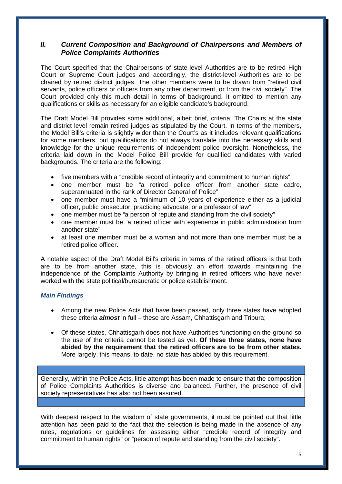## *II. Current Composition and Background of Chairpersons and Members of Police Complaints Authorities*

The Court specified that the Chairpersons of state-level Authorities are to be retired High Court or Supreme Court judges and accordingly, the district-level Authorities are to be chaired by retired district judges. The other members were to be drawn from "retired civil servants, police officers or officers from any other department, or from the civil society". The Court provided only this much detail in terms of background. It omitted to mention any qualifications or skills as necessary for an eligible candidate's background.

The Draft Model Bill provides some additional, albeit brief, criteria. The Chairs at the state and district level remain retired judges as stipulated by the Court. In terms of the members, the Model Bill's criteria is slightly wider than the Court's as it includes relevant qualifications for some members, but qualifications do not always translate into the necessary skills and knowledge for the unique requirements of independent police oversight. Nonetheless, the criteria laid down in the Model Police Bill provide for qualified candidates with varied backgrounds. The criteria are the following:

- five members with a "credible record of integrity and commitment to human rights"
- one member must be "a retired police officer from another state cadre, superannuated in the rank of Director General of Police"
- one member must have a "minimum of 10 years of experience either as a judicial officer, public prosecutor, practicing advocate, or a professor of law"
- one member must be "a person of repute and standing from the civil society"
- one member must be "a retired officer with experience in public administration from another state"
- at least one member must be a woman and not more than one member must be a retired police officer.

A notable aspect of the Draft Model Bill's criteria in terms of the retired officers is that both are to be from another state, this is obviously an effort towards maintaining the independence of the Complaints Authority by bringing in retired officers who have never worked with the state political/bureaucratic or police establishment.

#### *Main Findings*

- Among the new Police Acts that have been passed, only three states have adopted these criteria *almost* in full – these are Assam, Chhattisgarh and Tripura;
- Of these states, Chhattisgarh does not have Authorities functioning on the ground so the use of the criteria cannot be tested as yet. **Of these three states, none have abided by the requirement that the retired officers are to be from other states.**  More largely, this means, to date, no state has abided by this requirement.

Generally, within the Police Acts, little attempt has been made to ensure that the composition of Police Complaints Authorities is diverse and balanced. Further, the presence of civil society representatives has also not been assured.

With deepest respect to the wisdom of state governments, it must be pointed out that little attention has been paid to the fact that the selection is being made in the absence of any rules, regulations or guidelines for assessing either "credible record of integrity and commitment to human rights" or "person of repute and standing from the civil society".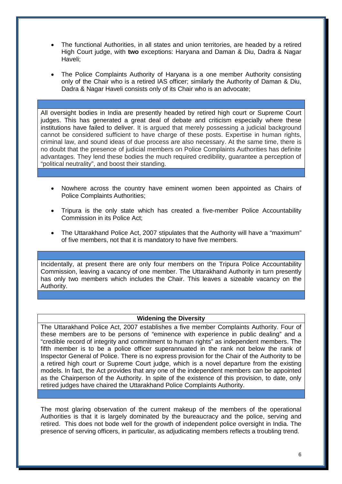- The functional Authorities, in all states and union territories, are headed by a retired High Court judge, with **two** exceptions: Haryana and Daman & Diu, Dadra & Nagar Haveli;
- The Police Complaints Authority of Haryana is a one member Authority consisting only of the Chair who is a retired IAS officer; similarly the Authority of Daman & Diu, Dadra & Nagar Haveli consists only of its Chair who is an advocate;

All oversight bodies in India are presently headed by retired high court or Supreme Court judges. This has generated a great deal of debate and criticism especially where these institutions have failed to deliver. It is argued that merely possessing a judicial background cannot be considered sufficient to have charge of these posts. Expertise in human rights, criminal law, and sound ideas of due process are also necessary. At the same time, there is no doubt that the presence of judicial members on Police Complaints Authorities has definite advantages. They lend these bodies the much required credibility, guarantee a perception of "political neutrality", and boost their standing.

- Nowhere across the country have eminent women been appointed as Chairs of Police Complaints Authorities;
- Tripura is the only state which has created a five-member Police Accountability Commission in its Police Act;
- The Uttarakhand Police Act, 2007 stipulates that the Authority will have a "maximum" of five members, not that it is mandatory to have five members.

Incidentally, at present there are only four members on the Tripura Police Accountability Commission, leaving a vacancy of one member. The Uttarakhand Authority in turn presently has only two members which includes the Chair. This leaves a sizeable vacancy on the Authority.

#### **Widening the Diversity**

The Uttarakhand Police Act, 2007 establishes a five member Complaints Authority. Four of these members are to be persons of "eminence with experience in public dealing" and a "credible record of integrity and commitment to human rights" as independent members. The fifth member is to be a police officer superannuated in the rank not below the rank of Inspector General of Police. There is no express provision for the Chair of the Authority to be a retired high court or Supreme Court judge, which is a novel departure from the existing models. In fact, the Act provides that any one of the independent members can be appointed as the Chairperson of the Authority. In spite of the existence of this provision, to date, only retired judges have chaired the Uttarakhand Police Complaints Authority.

The most glaring observation of the current makeup of the members of the operational Authorities is that it is largely dominated by the bureaucracy and the police, serving and retired. This does not bode well for the growth of independent police oversight in India. The presence of serving officers, in particular, as adjudicating members reflects a troubling trend.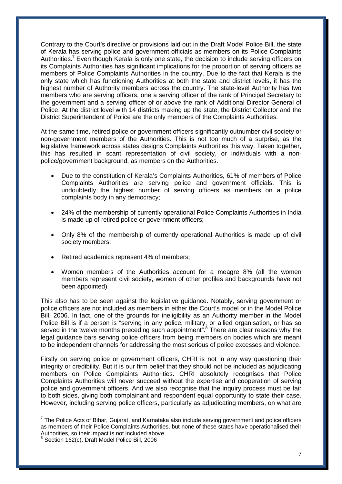Contrary to the Court's directive or provisions laid out in the Draft Model Police Bill, the state of Kerala has serving police and government officials as members on its Police Complaints Authorities.<sup>7</sup> Even though Kerala is only one state, the decision to include serving officers on its Complaints Authorities has significant implications for the proportion of serving officers as members of Police Complaints Authorities in the country. Due to the fact that Kerala is the only state which has functioning Authorities at both the state and district levels, it has the highest number of Authority members across the country. The state-level Authority has two members who are serving officers, one a serving officer of the rank of Principal Secretary to the government and a serving officer of or above the rank of Additional Director General of Police. At the district level with 14 districts making up the state, the District Collector and the District Superintendent of Police are the only members of the Complaints Authorities.

At the same time, retired police or government officers significantly outnumber civil society or non-government members of the Authorities. This is not too much of a surprise, as the legislative framework across states designs Complaints Authorities this way. Taken together, this has resulted in scant representation of civil society, or individuals with a nonpolice/government background, as members on the Authorities.

- Due to the constitution of Kerala's Complaints Authorities, 61% of members of Police Complaints Authorities are serving police and government officials. This is undoubtedly the highest number of serving officers as members on a police complaints body in any democracy;
- 24% of the membership of currently operational Police Complaints Authorities in India is made up of retired police or government officers;
- Only 8% of the membership of currently operational Authorities is made up of civil society members;
- Retired academics represent 4% of members;
- Women members of the Authorities account for a meagre 8% (all the women members represent civil society, women of other profiles and backgrounds have not been appointed).

This also has to be seen against the legislative guidance. Notably, serving government or police officers are not included as members in either the Court's model or in the Model Police Bill, 2006. In fact, one of the grounds for ineligibility as an Authority member in the Model Police Bill is if a person is "serving in any police, military, or allied organisation, or has so served in the twelve months preceding such appointment<sup>".8</sup> There are clear reasons why the legal guidance bars serving police officers from being members on bodies which are meant to be independent channels for addressing the most serious of police excesses and violence.

Firstly on serving police or government officers, CHRI is not in any way questioning their integrity or credibility. But it is our firm belief that they should not be included as adjudicating members on Police Complaints Authorities. CHRI absolutely recognises that Police Complaints Authorities will never succeed without the expertise and cooperation of serving police and government officers. And we also recognise that the inquiry process must be fair to both sides, giving both complainant and respondent equal opportunity to state their case. However, including serving police officers, particularly as adjudicating members, on what are

<sup>————————————————————&</sup>lt;br><sup>7</sup> The Police Acts of Bihar, Gujarat, and Karnataka also include serving government and police officers as members of their Police Complaints Authorities, but none of these states have operationalised their Authorities, so their impact is not included above.

<sup>8</sup> Section 162(c), Draft Model Police Bill, 2006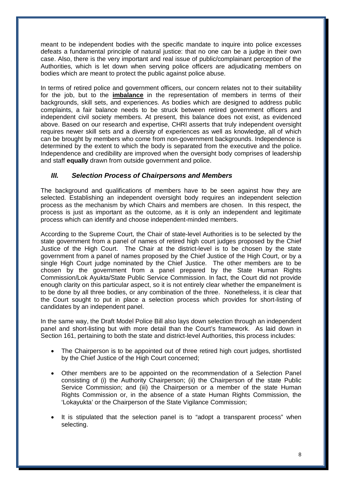meant to be independent bodies with the specific mandate to inquire into police excesses defeats a fundamental principle of natural justice: that no one can be a judge in their own case. Also, there is the very important and real issue of public/complainant perception of the Authorities, which is let down when serving police officers are adjudicating members on bodies which are meant to protect the public against police abuse.

In terms of retired police and government officers, our concern relates not to their suitability for the job, but to the **imbalance** in the representation of members in terms of their backgrounds, skill sets, and experiences. As bodies which are designed to address public complaints, a fair balance needs to be struck between retired government officers and independent civil society members. At present, this balance does not exist, as evidenced above. Based on our research and expertise, CHRI asserts that truly independent oversight requires newer skill sets and a diversity of experiences as well as knowledge, all of which can be brought by members who come from non-government backgrounds. Independence is determined by the extent to which the body is separated from the executive and the police. Independence and credibility are improved when the oversight body comprises of leadership and staff **equally** drawn from outside government and police.

## *III. Selection Process of Chairpersons and Members*

The background and qualifications of members have to be seen against how they are selected. Establishing an independent oversight body requires an independent selection process as the mechanism by which Chairs and members are chosen. In this respect, the process is just as important as the outcome, as it is only an independent and legitimate process which can identify and choose independent-minded members.

According to the Supreme Court, the Chair of state-level Authorities is to be selected by the state government from a panel of names of retired high court judges proposed by the Chief Justice of the High Court. The Chair at the district-level is to be chosen by the state government from a panel of names proposed by the Chief Justice of the High Court, or by a single High Court judge nominated by the Chief Justice. The other members are to be chosen by the government from a panel prepared by the State Human Rights Commission/Lok Ayukta/State Public Service Commission. In fact, the Court did not provide enough clarity on this particular aspect, so it is not entirely clear whether the empanelment is to be done by all three bodies, or any combination of the three. Nonetheless, it is clear that the Court sought to put in place a selection process which provides for short-listing of candidates by an independent panel.

In the same way, the Draft Model Police Bill also lays down selection through an independent panel and short-listing but with more detail than the Court's framework. As laid down in Section 161, pertaining to both the state and district-level Authorities, this process includes:

- The Chairperson is to be appointed out of three retired high court judges, shortlisted by the Chief Justice of the High Court concerned;
- Other members are to be appointed on the recommendation of a Selection Panel consisting of (i) the Authority Chairperson; (ii) the Chairperson of the state Public Service Commission; and (iii) the Chairperson or a member of the state Human Rights Commission or, in the absence of a state Human Rights Commission, the 'Lokayukta' or the Chairperson of the State Vigilance Commission;
- It is stipulated that the selection panel is to "adopt a transparent process" when selecting.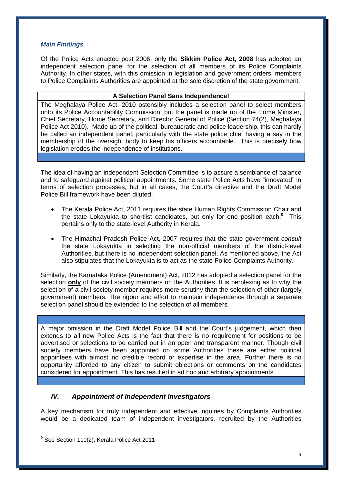### *Main Findings*

Of the Police Acts enacted post 2006, only the **Sikkim Police Act, 2008** has adopted an independent selection panel for the selection of all members of its Police Complaints Authority. In other states, with this omission in legislation and government orders, members to Police Complaints Authorities are appointed at the sole discretion of the state government.

#### **A Selection Panel Sans Independence!**

The Meghalaya Police Act, 2010 ostensibly includes a selection panel to select members onto its Police Accountability Commission, but the panel is made up of the Home Minister, Chief Secretary, Home Secretary, and Director General of Police (Section 74(2), Meghalaya Police Act 2010). Made up of the political, bureaucratic and police leadership, this can hardly be called an independent panel, particularly with the state police chief having a say in the membership of the oversight body to keep his officers accountable. This is precisely how legislation erodes the independence of institutions.

The idea of having an independent Selection Committee is to assure a semblance of balance and to safeguard against political appointments. Some state Police Acts have "innovated" in terms of selection processes, but in all cases, the Court's directive and the Draft Model Police Bill framework have been diluted:

- The Kerala Police Act, 2011 requires the state Human Rights Commission Chair and the state Lokayukta to shortlist candidates, but only for one position each. $9$  This pertains only to the state-level Authority in Kerala.
- The Himachal Pradesh Police Act, 2007 requires that the state government *consult* the state Lokayukta in selecting the non-official members of the district-level Authorities, but there is no independent selection panel. As mentioned above, the Act also stipulates that the Lokayukta is to act as the state Police Complaints Authority.

Similarly, the Karnataka Police (Amendment) Act, 2012 has adopted a selection panel for the selection **only** of the civil society members on the Authorities. It is perplexing as to why the selection of a civil society member requires more scrutiny than the selection of other (largely government) members. The rigour and effort to maintain independence through a separate selection panel should be extended to the selection of all members.

A major omission in the Draft Model Police Bill and the Court's judgement, which then extends to all new Police Acts is the fact that there is no requirement for positions to be advertised or selections to be carried out in an open and transparent manner. Though civil society members have been appointed on some Authorities these are either political appointees with almost no credible record or expertise in the area. Further there is no opportunity afforded to any citizen to submit objections or comments on the candidates considered for appointment. This has resulted in ad hoc and arbitrary appointments.

## *IV. Appointment of Independent Investigators*

A key mechanism for truly independent and effective inquiries by Complaints Authorities would be a dedicated team of independent investigators, recruited by the Authorities

j  $9$  See Section 110(2), Kerala Police Act 2011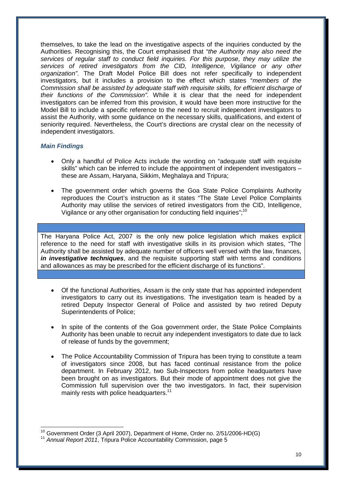themselves, to take the lead on the investigative aspects of the inquiries conducted by the Authorities. Recognising this, the Court emphasised that "*the Authority may also need the services of regular staff to conduct field inquiries. For this purpose, they may utilize the services of retired investigators from the CID, Intelligence, Vigilance or any other organization".* The Draft Model Police Bill does not refer specifically to independent investigators, but it includes a provision to the effect which states "*members of the Commission shall be assisted by adequate staff with requisite skills, for efficient discharge of their functions of the Commission".* While it is clear that the need for independent investigators can be inferred from this provision, it would have been more instructive for the Model Bill to include a specific reference to the need to recruit independent investigators to assist the Authority, with some guidance on the necessary skills, qualifications, and extent of seniority required. Nevertheless, the Court's directions are crystal clear on the necessity of independent investigators.

#### *Main Findings*

- Only a handful of Police Acts include the wording on "adequate staff with requisite skills" which can be inferred to include the appointment of independent investigators – these are Assam, Haryana, Sikkim, Meghalaya and Tripura;
- The government order which governs the Goa State Police Complaints Authority reproduces the Court's instruction as it states "The State Level Police Complaints Authority may utilise the services of retired investigators from the CID, Intelligence, Vigilance or any other organisation for conducting field inquiries";<sup>10</sup>

The Haryana Police Act, 2007 is the only new police legislation which makes explicit reference to the need for staff with investigative skills in its provision which states, "The Authority shall be assisted by adequate number of officers well versed with the law, finances, *in investigative techniques*, and the requisite supporting staff with terms and conditions and allowances as may be prescribed for the efficient discharge of its functions".

- Of the functional Authorities, Assam is the only state that has appointed independent investigators to carry out its investigations. The investigation team is headed by a retired Deputy Inspector General of Police and assisted by two retired Deputy Superintendents of Police;
- In spite of the contents of the Goa government order, the State Police Complaints Authority has been unable to recruit any independent investigators to date due to lack of release of funds by the government;
- The Police Accountability Commission of Tripura has been trying to constitute a team of investigators since 2008, but has faced continual resistance from the police department. In February 2012, two Sub-Inspectors from police headquarters have been brought on as investigators. But their mode of appointment does not give the Commission full supervision over the two investigators. In fact, their supervision mainly rests with police headquarters.<sup>11</sup>

 $\overline{1}$  $^{10}$  Government Order (3 April 2007), Department of Home, Order no. 2/51/2006-HD(G)

<sup>&</sup>lt;sup>11</sup> Annual Report 2011, Tripura Police Accountability Commission, page 5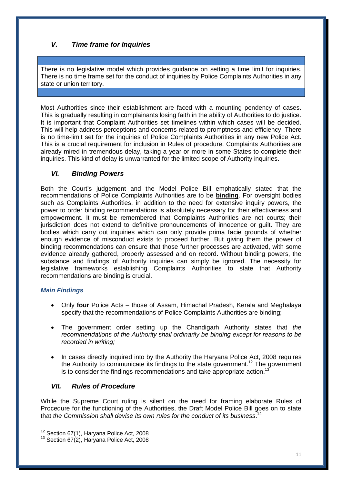# *V. Time frame for Inquiries*

There is no legislative model which provides guidance on setting a time limit for inquiries. There is no time frame set for the conduct of inquiries by Police Complaints Authorities in any state or union territory.

Most Authorities since their establishment are faced with a mounting pendency of cases. This is gradually resulting in complainants losing faith in the ability of Authorities to do justice. It is important that Complaint Authorities set timelines within which cases will be decided. This will help address perceptions and concerns related to promptness and efficiency. There is no time-limit set for the inquiries of Police Complaints Authorities in any new Police Act. This is a crucial requirement for inclusion in Rules of procedure. Complaints Authorities are already mired in tremendous delay, taking a year or more in some States to complete their inquiries. This kind of delay is unwarranted for the limited scope of Authority inquiries.

# *VI. Binding Powers*

Both the Court's judgement and the Model Police Bill emphatically stated that the recommendations of Police Complaints Authorities are to be **binding**. For oversight bodies such as Complaints Authorities, in addition to the need for extensive inquiry powers, the power to order binding recommendations is absolutely necessary for their effectiveness and empowerment. It must be remembered that Complaints Authorities are not courts; their jurisdiction does not extend to definitive pronouncements of innocence or guilt. They are bodies which carry out inquiries which can only provide prima facie grounds of whether enough evidence of misconduct exists to proceed further. But giving them the power of binding recommendations can ensure that those further processes are activated, with some evidence already gathered, properly assessed and on record. Without binding powers, the substance and findings of Authority inquiries can simply be ignored. The necessity for legislative frameworks establishing Complaints Authorities to state that Authority recommendations are binding is crucial.

## *Main Findings*

- Only **four** Police Acts those of Assam, Himachal Pradesh, Kerala and Meghalaya specify that the recommendations of Police Complaints Authorities are binding;
- The government order setting up the Chandigarh Authority states that *the recommendations of the Authority shall ordinarily be binding except for reasons to be recorded in writing;*
- In cases directly inquired into by the Authority the Haryana Police Act, 2008 requires the Authority to communicate its findings to the state government.<sup>12</sup> The government is to consider the findings recommendations and take appropriate action.<sup>13</sup>

# *VII. Rules of Procedure*

While the Supreme Court ruling is silent on the need for framing elaborate Rules of Procedure for the functioning of the Authorities, the Draft Model Police Bill goes on to state that *the Commission shall devise its own rules for the conduct of its business*. 14

 $\overline{1}$  $12$  Section 67(1), Haryana Police Act, 2008

 $13$  Section 67(2), Harvana Police Act, 2008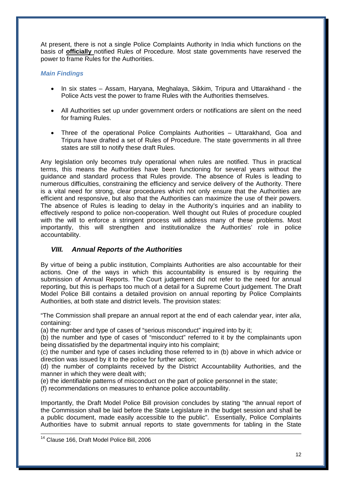At present, there is not a single Police Complaints Authority in India which functions on the basis of **officially** notified Rules of Procedure. Most state governments have reserved the power to frame Rules for the Authorities.

## *Main Findings*

- In six states Assam, Haryana, Meghalaya, Sikkim, Tripura and Uttarakhand the Police Acts vest the power to frame Rules with the Authorities themselves.
- All Authorities set up under government orders or notifications are silent on the need for framing Rules.
- Three of the operational Police Complaints Authorities Uttarakhand, Goa and Tripura have drafted a set of Rules of Procedure. The state governments in all three states are still to notify these draft Rules.

Any legislation only becomes truly operational when rules are notified. Thus in practical terms, this means the Authorities have been functioning for several years without the guidance and standard process that Rules provide. The absence of Rules is leading to numerous difficulties, constraining the efficiency and service delivery of the Authority. There is a vital need for strong, clear procedures which not only ensure that the Authorities are efficient and responsive, but also that the Authorities can maximize the use of their powers. The absence of Rules is leading to delay in the Authority's inquiries and an inability to effectively respond to police non-cooperation. Well thought out Rules of procedure coupled with the will to enforce a stringent process will address many of these problems. Most importantly, this will strengthen and institutionalize the Authorities' role in police accountability.

## *VIII. Annual Reports of the Authorities*

By virtue of being a public institution, Complaints Authorities are also accountable for their actions. One of the ways in which this accountability is ensured is by requiring the submission of Annual Reports. The Court judgement did not refer to the need for annual reporting, but this is perhaps too much of a detail for a Supreme Court judgement. The Draft Model Police Bill contains a detailed provision on annual reporting by Police Complaints Authorities, at both state and district levels. The provision states:

"The Commission shall prepare an annual report at the end of each calendar year, inter *alia*, containing:

(a) the number and type of cases of "serious misconduct" inquired into by it;

(b) the number and type of cases of "misconduct" referred to it by the complainants upon being dissatisfied by the departmental inquiry into his complaint;

(c) the number and type of cases including those referred to in (b) above in which advice or direction was issued by it to the police for further action;

(d) the number of complaints received by the District Accountability Authorities, and the manner in which they were dealt with;

(e) the identifiable patterns of misconduct on the part of police personnel in the state;

(f) recommendations on measures to enhance police accountability.

Importantly, the Draft Model Police Bill provision concludes by stating "the annual report of the Commission shall be laid before the State Legislature in the budget session and shall be a public document, made easily accessible to the public". Essentially, Police Complaints Authorities have to submit annual reports to state governments for tabling in the State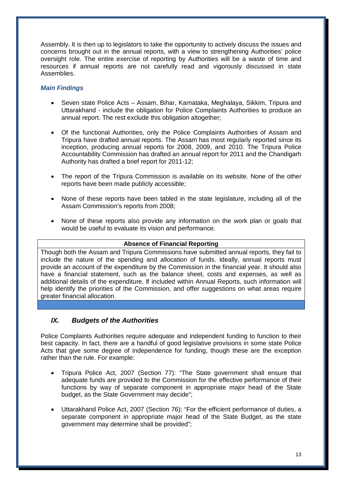Assembly. It is then up to legislators to take the opportunity to actively discuss the issues and concerns brought out in the annual reports, with a view to strengthening Authorities' police oversight role. The entire exercise of reporting by Authorities will be a waste of time and resources if annual reports are not carefully read and vigorously discussed in state Assemblies.

## *Main Findings*

- Seven state Police Acts Assam, Bihar, Karnataka, Meghalaya, Sikkim, Tripura and Uttarakhand - include the obligation for Police Complaints Authorities to produce an annual report. The rest exclude this obligation altogether:
- Of the functional Authorities, only the Police Complaints Authorities of Assam and Tripura have drafted annual reports. The Assam has most regularly reported since its inception, producing annual reports for 2008, 2009, and 2010. The Tripura Police Accountability Commission has drafted an annual report for 2011 and the Chandigarh Authority has drafted a brief report for 2011-12;
- The report of the Tripura Commission is available on its website. None of the other reports have been made publicly accessible;
- None of these reports have been tabled in the state legislature, including all of the Assam Commission's reports from 2008;
- None of these reports also provide any information on the work plan or goals that would be useful to evaluate its vision and performance.

### **Absence of Financial Reporting**

Though both the Assam and Tripura Commissions have submitted annual reports, they fail to include the nature of the spending and allocation of funds. Ideally, annual reports must provide an account of the expenditure by the Commission in the financial year. It should also have a financial statement, such as the balance sheet, costs and expenses, as well as additional details of the expenditure. If included within Annual Reports, such information will help identify the priorities of the Commission, and offer suggestions on what areas require greater financial allocation.

## *IX. Budgets of the Authorities*

Police Complaints Authorities require adequate and independent funding to function to their best capacity. In fact, there are a handful of good legislative provisions in some state Police Acts that give some degree of independence for funding, though these are the exception rather than the rule. For example:

- Tripura Police Act, 2007 (Section 77): "The State government shall ensure that adequate funds are provided to the Commission for the effective performance of their functions by way of separate component in appropriate major head of the State budget, as the State Government may decide";
- Uttarakhand Police Act, 2007 (Section 76): "For the efficient performance of duties, a separate component in appropriate major head of the State Budget, as the state government may determine shall be provided";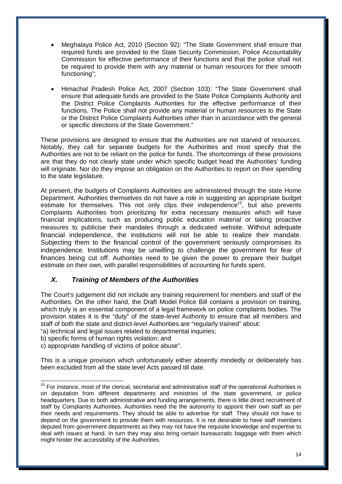- Meghalaya Police Act, 2010 (Section 92): "The State Government shall ensure that required funds are provided to the State Security Commission, Police Accountability Commission for effective performance of their functions and that the police shall not be required to provide them with any material or human resources for their smooth functioning";
- Himachal Pradesh Police Act, 2007 (Section 103): "The State Government shall ensure that adequate funds are provided to the State Police Complaints Authority and the District Police Complaints Authorities for the effective performance of their functions. The Police shall not provide any material or human resources to the State or the District Police Complaints Authorities other than in accordance with the general or specific directions of the State Government."

These provisions are designed to ensure that the Authorities are not starved of resources. Notably, they call for separate budgets for the Authorities and most specify that the Authorities are not to be reliant on the police for funds. The shortcomings of these provisions are that they do not clearly state under which specific budget head the Authorities' funding will originate. Nor do they impose an obligation on the Authorities to report on their spending to the state legislature.

At present, the budgets of Complaints Authorities are administered through the state Home Department. Authorities themselves do not have a role in suggesting an appropriate budget estimate for themselves. This not only clips their independence<sup>15</sup>, but also prevents Complaints Authorities from prioritizing for extra necessary measures which will have financial implications, such as producing public education material or taking proactive measures to publicise their mandates through a dedicated website. Without adequate financial independence, the institutions will not be able to realize their mandate. Subjecting them to the financial control of the government seriously compromises its independence. Institutions may be unwilling to challenge the government for fear of finances being cut off. Authorities need to be given the power to prepare their budget estimate on their own, with parallel responsibilities of accounting for funds spent.

# *X. Training of Members of the Authorities*

The Court's judgement did not include any training requirement for members and staff of the Authorities. On the other hand, the Draft Model Police Bill contains a provision on training, which truly is an essential component of a legal framework on police complaints bodies. The provision states it is the "duty" of the state-level Authority to ensure that all members and staff of both the state and district-level Authorities are "regularly trained" about:

"a) technical and legal issues related to departmental inquiries;

b) specific forms of human rights violation; and

c) appropriate handling of victims of police abuse".

This is a unique provision which unfortunately either absently mindedly or deliberately has been excluded from all the state level Acts passed till date.

 $\overline{a}$ <sup>15</sup> For instance, most of the clerical, secretarial and administrative staff of the operational Authorities is on deputation from different departments and ministries of the state government, or police headquarters. Due to both administrative and funding arrangements, there is little direct recruitment of staff by Complaints Authorities. Authorities need the the autonomy to appoint their own staff as per their needs and requirements. They should be able to advertise for staff. They should not have to depend on the government to provide them with resources. It is not desirable to have staff members deputed from government departments as they may not have the requisite knowledge and expertise to deal with issues at hand. In turn they may also bring certain bureaucratic baggage with them which might hinder the accessibility of the Authorities.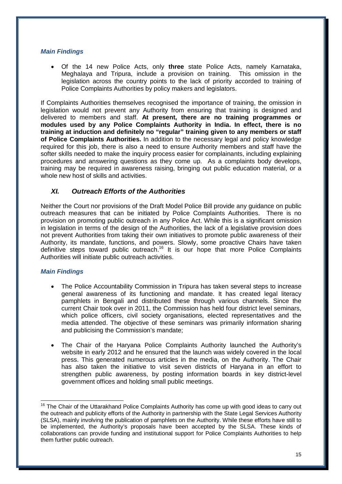#### *Main Findings*

 Of the 14 new Police Acts, only **three** state Police Acts, namely Karnataka, Meghalaya and Tripura, include a provision on training. This omission in the legislation across the country points to the lack of priority accorded to training of Police Complaints Authorities by policy makers and legislators.

If Complaints Authorities themselves recognised the importance of training, the omission in legislation would not prevent any Authority from ensuring that training is designed and delivered to members and staff. **At present, there are no training programmes or modules used by any Police Complaints Authority in India. In effect, there is no training at induction and definitely no "regular" training given to any members or staff of Police Complaints Authorities.** In addition to the necessary legal and policy knowledge required for this job, there is also a need to ensure Authority members and staff have the softer skills needed to make the inquiry process easier for complainants, including explaining procedures and answering questions as they come up. As a complaints body develops, training may be required in awareness raising, bringing out public education material, or a whole new host of skills and activities.

## *XI. Outreach Efforts of the Authorities*

Neither the Court nor provisions of the Draft Model Police Bill provide any guidance on public outreach measures that can be initiated by Police Complaints Authorities. There is no provision on promoting public outreach in any Police Act. While this is a significant omission in legislation in terms of the design of the Authorities, the lack of a legislative provision does not prevent Authorities from taking their own initiatives to promote public awareness of their Authority, its mandate, functions, and powers. Slowly, some proactive Chairs have taken definitive steps toward public outreach.<sup>16</sup> It is our hope that more Police Complaints Authorities will initiate public outreach activities.

#### *Main Findings*

- The Police Accountability Commission in Tripura has taken several steps to increase general awareness of its functioning and mandate. It has created legal literacy pamphlets in Bengali and distributed these through various channels. Since the current Chair took over in 2011, the Commission has held four district level seminars, which police officers, civil society organisations, elected representatives and the media attended. The objective of these seminars was primarily information sharing and publicising the Commission's mandate;
- The Chair of the Haryana Police Complaints Authority launched the Authority's website in early 2012 and he ensured that the launch was widely covered in the local press. This generated numerous articles in the media, on the Authority. The Chair has also taken the initiative to visit seven districts of Haryana in an effort to strengthen public awareness, by posting information boards in key district-level government offices and holding small public meetings.

 $\overline{1}$ <sup>16</sup> The Chair of the Uttarakhand Police Complaints Authority has come up with good ideas to carry out the outreach and publicity efforts of the Authority in partnership with the State Legal Services Authority (SLSA), mainly involving the publication of pamphlets on the Authority. While these efforts have still to be implemented, the Authority's proposals have been accepted by the SLSA. These kinds of collaborations can provide funding and institutional support for Police Complaints Authorities to help them further public outreach.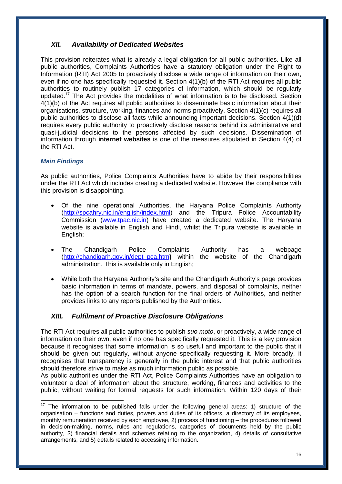# *XII. Availability of Dedicated Websites*

This provision reiterates what is already a legal obligation for all public authorities. Like all public authorities, Complaints Authorities have a statutory obligation under the Right to Information (RTI) Act 2005 to proactively disclose a wide range of information on their own, even if no one has specifically requested it. Section 4(1)(b) of the RTI Act requires all public authorities to routinely publish 17 categories of information, which should be regularly updated.<sup>17</sup> The Act provides the modalities of what information is to be disclosed. Section 4(1)(b) of the Act requires all public authorities to disseminate basic information about their organisations, structure, working, finances and norms proactively. Section 4(1)(c) requires all public authorities to disclose all facts while announcing important decisions. Section 4(1)(d) requires every public authority to proactively disclose reasons behind its administrative and quasi-judicial decisions to the persons affected by such decisions. Dissemination of information through **internet websites** is one of the measures stipulated in Section 4(4) of the RTI Act.

## *Main Findings*

 $\overline{1}$ 

As public authorities, Police Complaints Authorities have to abide by their responsibilities under the RTI Act which includes creating a dedicated website. However the compliance with this provision is disappointing.

- Of the nine operational Authorities, the Haryana Police Complaints Authority (http://spcahry.nic.in/english/index.html) and the Tripura Police Accountability Commission (www.tpac.nic.in) have created a dedicated website. The Haryana website is available in English and Hindi, whilst the Tripura website is available in English;
- The Chandigarh Police Complaints Authority has a webpage (http://chandigarh.gov.in/dept\_pca.htm**)** within the website of the Chandigarh administration. This is available only in English;
- While both the Haryana Authority's site and the Chandigarh Authority's page provides basic information in terms of mandate, powers, and disposal of complaints, neither has the option of a search function for the final orders of Authorities, and neither provides links to any reports published by the Authorities.

# *XIII. Fulfilment of Proactive Disclosure Obligations*

The RTI Act requires all public authorities to publish *suo moto*, or proactively, a wide range of information on their own, even if no one has specifically requested it. This is a key provision because it recognises that some information is so useful and important to the public that it should be given out regularly, without anyone specifically requesting it. More broadly, it recognises that transparency is generally in the public interest and that public authorities should therefore strive to make as much information public as possible.

As public authorities under the RTI Act, Police Complaints Authorities have an obligation to volunteer a deal of information about the structure, working, finances and activities to the public, without waiting for formal requests for such information. Within 120 days of their

 $17$  The information to be published falls under the following general areas: 1) structure of the organisation – functions and duties, powers and duties of its officers, a directory of its employees, monthly remuneration received by each employee, 2) process of functioning – the procedures followed in decision-making, norms, rules and regulations, categories of documents held by the public authority, 3) financial details and schemes relating to the organization, 4) details of consultative arrangements, and 5) details related to accessing information.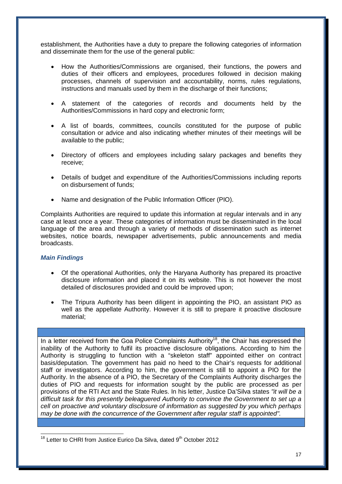establishment, the Authorities have a duty to prepare the following categories of information and disseminate them for the use of the general public:

- How the Authorities/Commissions are organised, their functions, the powers and duties of their officers and employees, procedures followed in decision making processes, channels of supervision and accountability, norms, rules regulations, instructions and manuals used by them in the discharge of their functions:
- A statement of the categories of records and documents held by the Authorities/Commissions in hard copy and electronic form;
- A list of boards, committees, councils constituted for the purpose of public consultation or advice and also indicating whether minutes of their meetings will be available to the public;
- Directory of officers and employees including salary packages and benefits they receive;
- Details of budget and expenditure of the Authorities/Commissions including reports on disbursement of funds;
- Name and designation of the Public Information Officer (PIO).

Complaints Authorities are required to update this information at regular intervals and in any case at least once a year. These categories of information must be disseminated in the local language of the area and through a variety of methods of dissemination such as internet websites, notice boards, newspaper advertisements, public announcements and media broadcasts.

#### *Main Findings*

- Of the operational Authorities, only the Haryana Authority has prepared its proactive disclosure information and placed it on its website. This is not however the most detailed of disclosures provided and could be improved upon;
- The Tripura Authority has been diligent in appointing the PIO, an assistant PIO as well as the appellate Authority. However it is still to prepare it proactive disclosure material;

In a letter received from the Goa Police Complaints Authority<sup>18</sup>, the Chair has expressed the inability of the Authority to fulfil its proactive disclosure obligations. According to him the Authority is struggling to function with a "skeleton staff" appointed either on contract basis/deputation. The government has paid no heed to the Chair's requests for additional staff or investigators. According to him, the government is still to appoint a PIO for the Authority. In the absence of a PIO, the Secretary of the Complaints Authority discharges the duties of PIO and requests for information sought by the public are processed as per provisions of the RTI Act and the State Rules. In his letter, Justice Da'Silva states *"it will be a difficult task for this presently beleaguered Authority to convince the Government to set up a cell on proactive and voluntary disclosure of information as suggested by you which perhaps may be done with the concurrence of the Government after regular staff is appointed".*

j  $18$  Letter to CHRI from Justice Eurico Da Silva, dated  $9<sup>th</sup>$  October 2012